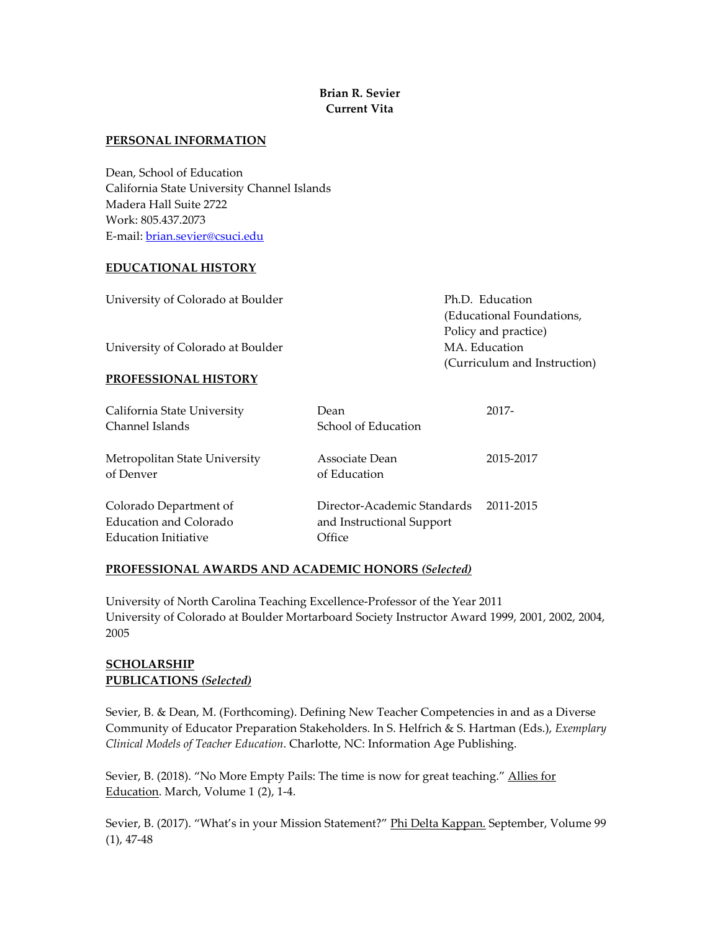## **Brian R. Sevier Current Vita**

#### **PERSONAL INFORMATION**

Dean, School of Education California State University Channel Islands Madera Hall Suite 2722 Work: 805.437.2073 E-mail: [brian.sevier@csuci.edu](mailto:brian.sevier@csuci.edu)

### **EDUCATIONAL HISTORY**

| University of Colorado at Boulder | Ph.D. Education              |  |
|-----------------------------------|------------------------------|--|
|                                   | (Educational Foundations,    |  |
|                                   | Policy and practice)         |  |
| University of Colorado at Boulder | MA. Education                |  |
|                                   | (Curriculum and Instruction) |  |
| <b>PROFESSIONAL HISTORY</b>       |                              |  |
|                                   |                              |  |

| California State University                                              | Dean                                                               | 2017-     |
|--------------------------------------------------------------------------|--------------------------------------------------------------------|-----------|
| Channel Islands                                                          | School of Education                                                |           |
| Metropolitan State University<br>of Denver                               | Associate Dean<br>of Education                                     | 2015-2017 |
| Colorado Department of<br>Education and Colorado<br>Education Initiative | Director-Academic Standards<br>and Instructional Support<br>Office | 2011-2015 |

### **PROFESSIONAL AWARDS AND ACADEMIC HONORS** *(Selected)*

University of North Carolina Teaching Excellence-Professor of the Year 2011 University of Colorado at Boulder Mortarboard Society Instructor Award 1999, 2001, 2002, 2004, 2005

# **SCHOLARSHIP PUBLICATIONS** *(Selected)*

Sevier, B. & Dean, M. (Forthcoming). Defining New Teacher Competencies in and as a Diverse Community of Educator Preparation Stakeholders. In S. Helfrich & S. Hartman (Eds.), *Exemplary Clinical Models of Teacher Education*. Charlotte, NC: Information Age Publishing.

Sevier, B. (2018). "No More Empty Pails: The time is now for great teaching." Allies for Education. March, Volume 1 (2), 1-4.

Sevier, B. (2017). "What's in your Mission Statement?" Phi Delta Kappan. September, Volume 99 (1), 47-48